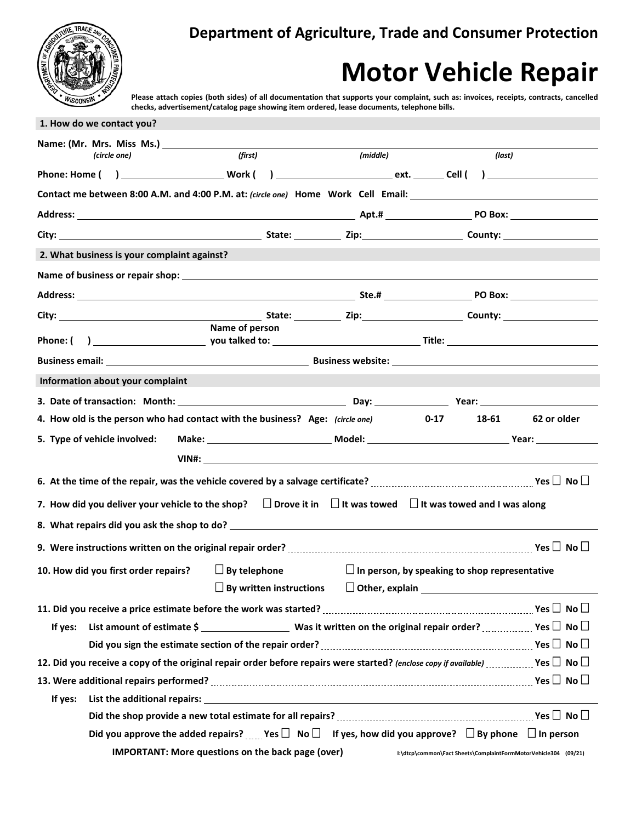

## **Motor Vehicle Repair**

**Please attach copies (both sides) of all documentation that supports your complaint, such as: invoices, receipts, contracts, cancelled checks, advertisement/catalog page showing item ordered, lease documents, telephone bills.**

|         | 1. How do we contact you?                   |                                                                               |          |                                                                                                                                                                                         |             |
|---------|---------------------------------------------|-------------------------------------------------------------------------------|----------|-----------------------------------------------------------------------------------------------------------------------------------------------------------------------------------------|-------------|
|         |                                             | Name: (Mr. Mrs. Miss Ms.) Name: (Mr. Mrs. Miss Ms.)                           |          |                                                                                                                                                                                         |             |
|         | (circle one)                                | (first)                                                                       | (middle) | (last)                                                                                                                                                                                  |             |
|         |                                             |                                                                               |          |                                                                                                                                                                                         |             |
|         |                                             |                                                                               |          | Contact me between 8:00 A.M. and 4:00 P.M. at: (circle one) Home Work Cell Email: ____________________________                                                                          |             |
|         |                                             |                                                                               |          |                                                                                                                                                                                         |             |
|         |                                             |                                                                               |          |                                                                                                                                                                                         |             |
|         | 2. What business is your complaint against? |                                                                               |          |                                                                                                                                                                                         |             |
|         |                                             |                                                                               |          |                                                                                                                                                                                         |             |
|         |                                             |                                                                               |          |                                                                                                                                                                                         |             |
|         |                                             |                                                                               |          |                                                                                                                                                                                         |             |
|         |                                             | Name of person                                                                |          |                                                                                                                                                                                         |             |
|         |                                             |                                                                               |          |                                                                                                                                                                                         |             |
|         |                                             |                                                                               |          |                                                                                                                                                                                         |             |
|         | Information about your complaint            |                                                                               |          |                                                                                                                                                                                         |             |
|         |                                             |                                                                               |          |                                                                                                                                                                                         |             |
|         |                                             | 4. How old is the person who had contact with the business? Age: (circle one) |          | $0 - 17$<br>18-61                                                                                                                                                                       | 62 or older |
|         | 5. Type of vehicle involved:                |                                                                               |          |                                                                                                                                                                                         |             |
|         |                                             |                                                                               |          |                                                                                                                                                                                         |             |
|         |                                             |                                                                               |          |                                                                                                                                                                                         |             |
|         |                                             |                                                                               |          | 7. How did you deliver your vehicle to the shop? $\Box$ Drove it in $\Box$ It was towed $\Box$ It was towed and I was along                                                             |             |
|         |                                             |                                                                               |          |                                                                                                                                                                                         |             |
|         |                                             |                                                                               |          |                                                                                                                                                                                         |             |
|         | 10. How did you first order repairs?        | $\Box$ By telephone                                                           |          | $\Box$ In person, by speaking to shop representative                                                                                                                                    |             |
|         |                                             |                                                                               |          |                                                                                                                                                                                         |             |
|         |                                             |                                                                               |          |                                                                                                                                                                                         |             |
| If yes: |                                             |                                                                               |          |                                                                                                                                                                                         |             |
|         |                                             |                                                                               |          | Did you sign the estimate section of the repair order? $\ldots$ $\ldots$ $\ldots$ $\ldots$ $\ldots$ $\ldots$ $\ldots$ $\ldots$ $\ldots$ $\ldots$ $\ldots$ $\ldots$ Yes $\Box$ No $\Box$ |             |
|         |                                             |                                                                               |          | 12. Did you receive a copy of the original repair order before repairs were started? (enclose copy if available) $\ldots$ Yes $\Box$ No $\Box$                                          |             |
|         |                                             |                                                                               |          |                                                                                                                                                                                         |             |
| If yes: |                                             |                                                                               |          |                                                                                                                                                                                         |             |
|         |                                             |                                                                               |          | Did the shop provide a new total estimate for all repairs? Matheman and the summan matrix was $\Box$ No $\Box$                                                                          |             |
|         |                                             |                                                                               |          | Did you approve the added repairs? _____ Yes $\square$ No $\square$ if yes, how did you approve? $\square$ By phone $\square$ In person                                                 |             |
|         |                                             | <b>IMPORTANT: More questions on the back page (over)</b>                      |          | I:\dtcp\common\Fact Sheets\ComplaintFormMotorVehicle304 (09/21)                                                                                                                         |             |